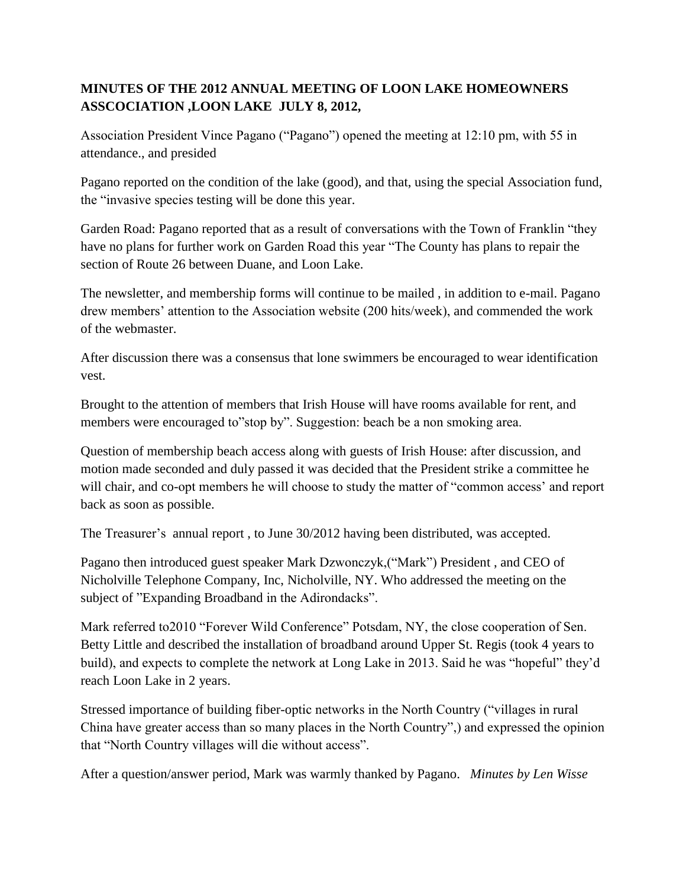## **MINUTES OF THE 2012 ANNUAL MEETING OF LOON LAKE HOMEOWNERS ASSCOCIATION ,LOON LAKE JULY 8, 2012,**

Association President Vince Pagano ("Pagano") opened the meeting at 12:10 pm, with 55 in attendance., and presided

Pagano reported on the condition of the lake (good), and that, using the special Association fund, the "invasive species testing will be done this year.

Garden Road: Pagano reported that as a result of conversations with the Town of Franklin "they have no plans for further work on Garden Road this year "The County has plans to repair the section of Route 26 between Duane, and Loon Lake.

The newsletter, and membership forms will continue to be mailed , in addition to e-mail. Pagano drew members' attention to the Association website (200 hits/week), and commended the work of the webmaster.

After discussion there was a consensus that lone swimmers be encouraged to wear identification vest.

Brought to the attention of members that Irish House will have rooms available for rent, and members were encouraged to"stop by". Suggestion: beach be a non smoking area.

Question of membership beach access along with guests of Irish House: after discussion, and motion made seconded and duly passed it was decided that the President strike a committee he will chair, and co-opt members he will choose to study the matter of "common access" and report back as soon as possible.

The Treasurer's annual report , to June 30/2012 having been distributed, was accepted.

Pagano then introduced guest speaker Mark Dzwonczyk,("Mark") President , and CEO of Nicholville Telephone Company, Inc, Nicholville, NY. Who addressed the meeting on the subject of "Expanding Broadband in the Adirondacks".

Mark referred to2010 "Forever Wild Conference" Potsdam, NY, the close cooperation of Sen. Betty Little and described the installation of broadband around Upper St. Regis (took 4 years to build), and expects to complete the network at Long Lake in 2013. Said he was "hopeful" they'd reach Loon Lake in 2 years.

Stressed importance of building fiber-optic networks in the North Country ("villages in rural China have greater access than so many places in the North Country",) and expressed the opinion that "North Country villages will die without access".

After a question/answer period, Mark was warmly thanked by Pagano. *Minutes by Len Wisse*